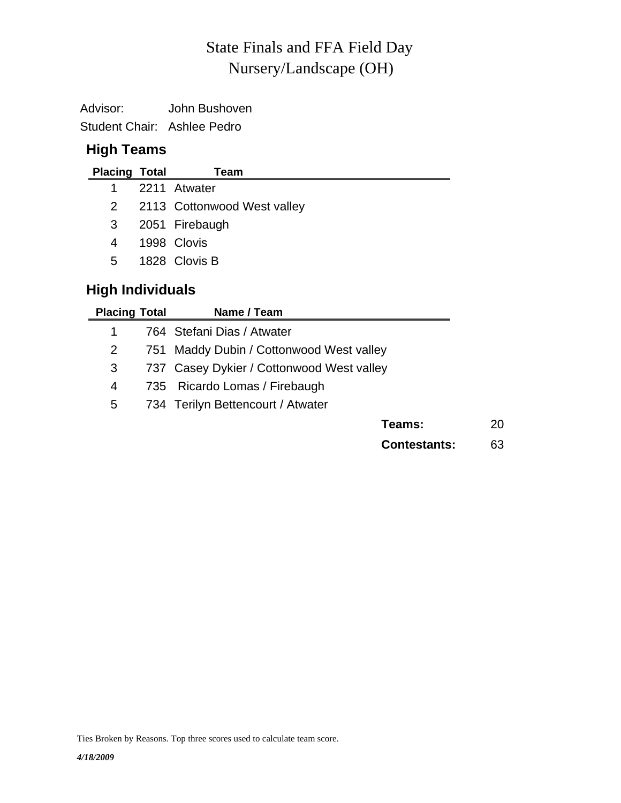# Nursery/Landscape (OH) State Finals and FFA Field Day

Advisor: John Bushoven Student Chair: Ashlee Pedro

# **High Teams**

| <b>Placing Total</b>    | Team                                     |
|-------------------------|------------------------------------------|
| 1                       | 2211 Atwater                             |
| $\overline{2}$          | 2113 Cottonwood West valley              |
| 3                       | 2051 Firebaugh                           |
| 4                       | 1998 Clovis                              |
| 5                       | 1828 Clovis B                            |
| <b>High Individuals</b> |                                          |
| <b>Placing Total</b>    | Name / Team                              |
| 1                       | 764 Stefani Dias / Atwater               |
| 2                       | 751 Maddy Dubin / Cottonwood West valley |

3 737 Casey Dykier / Cottonwood West valley

- 4 735 Ricardo Lomas / Firebaugh
- 5 734 Terilyn Bettencourt / Atwater

| Teams: | 20 |
|--------|----|
|        |    |

**Contestants:** 63

Ties Broken by Reasons. Top three scores used to calculate team score.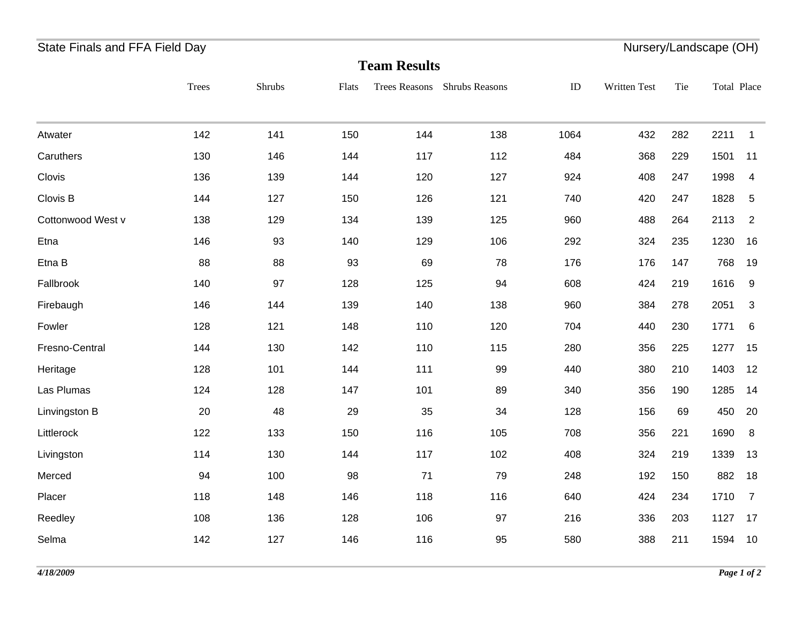# State Finals and FFA Field Day **Nursery/Landscape (OH)** State Finals and FFA Field Day

| <b>Team Results</b> |       |        |       |                      |                |      |              |     |             |              |
|---------------------|-------|--------|-------|----------------------|----------------|------|--------------|-----|-------------|--------------|
|                     | Trees | Shrubs | Flats | <b>Trees Reasons</b> | Shrubs Reasons | ID   | Written Test | Tie | Total Place |              |
| Atwater             | 142   | 141    | 150   | 144                  | 138            | 1064 | 432          | 282 | 2211        | $\mathbf{1}$ |
| Caruthers           | 130   | 146    | 144   | 117                  | 112            | 484  | 368          | 229 | 1501        | 11           |
| Clovis              | 136   | 139    | 144   | 120                  | 127            | 924  | 408          | 247 | 1998        | 4            |
| Clovis B            | 144   | 127    | 150   | 126                  | 121            | 740  | 420          | 247 | 1828        | 5            |
| Cottonwood West v   | 138   | 129    | 134   | 139                  | 125            | 960  | 488          | 264 | 2113        | 2            |
| Etna                | 146   | 93     | 140   | 129                  | 106            | 292  | 324          | 235 | 1230        | 16           |
| Etna B              | 88    | 88     | 93    | 69                   | 78             | 176  | 176          | 147 | 768         | 19           |
| Fallbrook           | 140   | 97     | 128   | 125                  | 94             | 608  | 424          | 219 | 1616        | 9            |
| Firebaugh           | 146   | 144    | 139   | 140                  | 138            | 960  | 384          | 278 | 2051        | 3            |
| Fowler              | 128   | 121    | 148   | 110                  | 120            | 704  | 440          | 230 | 1771        | 6            |
| Fresno-Central      | 144   | 130    | 142   | 110                  | 115            | 280  | 356          | 225 | 1277        | 15           |
| Heritage            | 128   | 101    | 144   | 111                  | 99             | 440  | 380          | 210 | 1403        | 12           |
| Las Plumas          | 124   | 128    | 147   | 101                  | 89             | 340  | 356          | 190 | 1285        | 14           |
| Linvingston B       | 20    | 48     | 29    | 35                   | 34             | 128  | 156          | 69  | 450         | 20           |
| Littlerock          | 122   | 133    | 150   | 116                  | 105            | 708  | 356          | 221 | 1690        | 8            |
| Livingston          | 114   | 130    | 144   | 117                  | 102            | 408  | 324          | 219 | 1339        | 13           |
| Merced              | 94    | 100    | 98    | 71                   | 79             | 248  | 192          | 150 | 882         | 18           |
| Placer              | 118   | 148    | 146   | 118                  | 116            | 640  | 424          | 234 | 1710        | 7            |
| Reedley             | 108   | 136    | 128   | 106                  | 97             | 216  | 336          | 203 | 1127        | 17           |
| Selma               | 142   | 127    | 146   | 116                  | 95             | 580  | 388          | 211 | 1594        | 10           |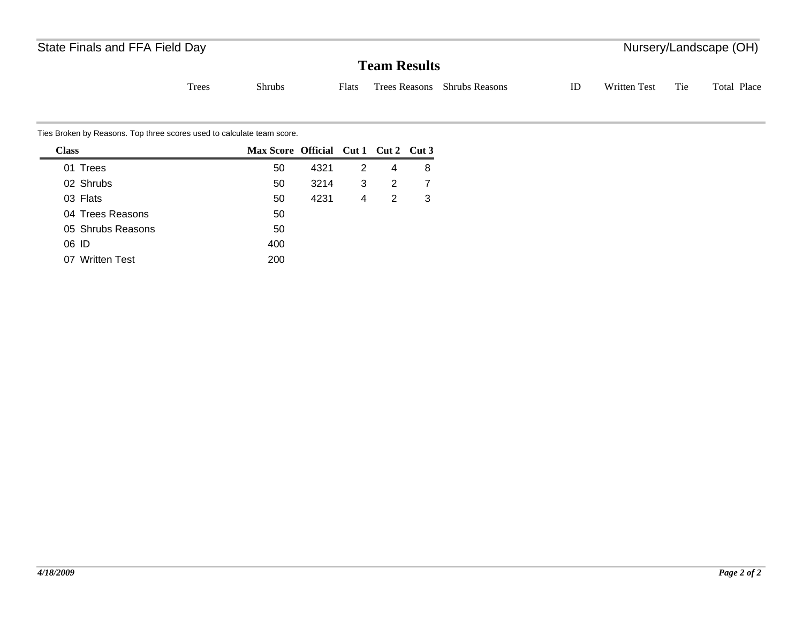# State Finals and FFA Field Day **Nursery/Landscape (OH)** State Finals and FFA Field Day

### **Team Results**

Tie Total Place Trees Shrubs Flats Trees Reasons Shrubs Reasons ID Written Test

Ties Broken by Reasons. Top three scores used to calculate team score.

| <b>Class</b>        | Max Score Official Cut 1 Cut 2 Cut 3 |      |   |   |   |
|---------------------|--------------------------------------|------|---|---|---|
| 01 Trees            | 50                                   | 4321 | 2 | 4 | 8 |
| 02 Shrubs           | 50                                   | 3214 | 3 | 2 |   |
| 03 Flats            | 50                                   | 4231 | 4 | 2 | 3 |
| 04 Trees Reasons    | 50                                   |      |   |   |   |
| 05 Shrubs Reasons   | 50                                   |      |   |   |   |
| 06 ID               | 400                                  |      |   |   |   |
| <b>Written Test</b> | 200                                  |      |   |   |   |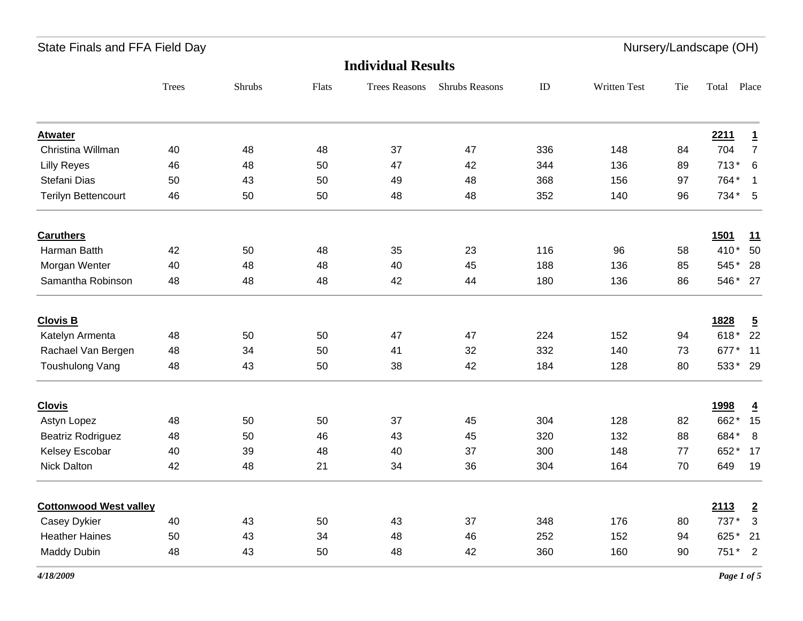| State Finals and FFA Field Day |              |        |       |                           |                |          |              |     | Nursery/Landscape (OH) |                         |
|--------------------------------|--------------|--------|-------|---------------------------|----------------|----------|--------------|-----|------------------------|-------------------------|
|                                |              |        |       | <b>Individual Results</b> |                |          |              |     |                        |                         |
|                                | <b>Trees</b> | Shrubs | Flats | <b>Trees Reasons</b>      | Shrubs Reasons | $\rm ID$ | Written Test | Tie | Total                  | Place                   |
| <b>Atwater</b>                 |              |        |       |                           |                |          |              |     | 2211                   | $\overline{1}$          |
| Christina Willman              | 40           | 48     | 48    | 37                        | 47             | 336      | 148          | 84  | 704                    | $\overline{7}$          |
| <b>Lilly Reyes</b>             | 46           | 48     | 50    | 47                        | 42             | 344      | 136          | 89  | $713*6$                |                         |
| Stefani Dias                   | 50           | 43     | 50    | 49                        | 48             | 368      | 156          | 97  | 764* 1                 |                         |
| Terilyn Bettencourt            | 46           | 50     | 50    | 48                        | 48             | 352      | 140          | 96  | $734*5$                |                         |
| <b>Caruthers</b>               |              |        |       |                           |                |          |              |     | <b>1501</b>            | 11                      |
| Harman Batth                   | 42           | 50     | 48    | 35                        | 23             | 116      | 96           | 58  | 410*                   | 50                      |
| Morgan Wenter                  | 40           | 48     | 48    | 40                        | 45             | 188      | 136          | 85  | 545*                   | 28                      |
| Samantha Robinson              | 48           | 48     | 48    | 42                        | 44             | 180      | 136          | 86  | 546* 27                |                         |
| <b>Clovis B</b>                |              |        |       |                           |                |          |              |     | 1828                   | $\overline{5}$          |
| Katelyn Armenta                | 48           | 50     | 50    | 47                        | 47             | 224      | 152          | 94  | 618* 22                |                         |
| Rachael Van Bergen             | 48           | 34     | 50    | 41                        | 32             | 332      | 140          | 73  | 677*                   | 11                      |
| Toushulong Vang                | 48           | 43     | 50    | 38                        | 42             | 184      | 128          | 80  | 533* 29                |                         |
| <b>Clovis</b>                  |              |        |       |                           |                |          |              |     | <u>1998</u>            | $\overline{4}$          |
| Astyn Lopez                    | 48           | 50     | 50    | 37                        | 45             | 304      | 128          | 82  | 662*                   | 15                      |
| <b>Beatriz Rodriguez</b>       | 48           | 50     | 46    | 43                        | 45             | 320      | 132          | 88  | 684*                   | 8                       |
| Kelsey Escobar                 | 40           | 39     | 48    | 40                        | 37             | 300      | 148          | 77  | 652*                   | 17                      |
| Nick Dalton                    | 42           | 48     | 21    | 34                        | 36             | 304      | 164          | 70  | 649                    | 19                      |
| <b>Cottonwood West valley</b>  |              |        |       |                           |                |          |              |     | 2113                   | $\overline{2}$          |
| Casey Dykier                   | 40           | 43     | 50    | 43                        | 37             | 348      | 176          | 80  | 737*                   | $\overline{\mathbf{3}}$ |
| <b>Heather Haines</b>          | 50           | 43     | 34    | 48                        | 46             | 252      | 152          | 94  | 625* 21                |                         |
| <b>Maddy Dubin</b>             | 48           | 43     | 50    | 48                        | 42             | 360      | 160          | 90  | 751 * 2                |                         |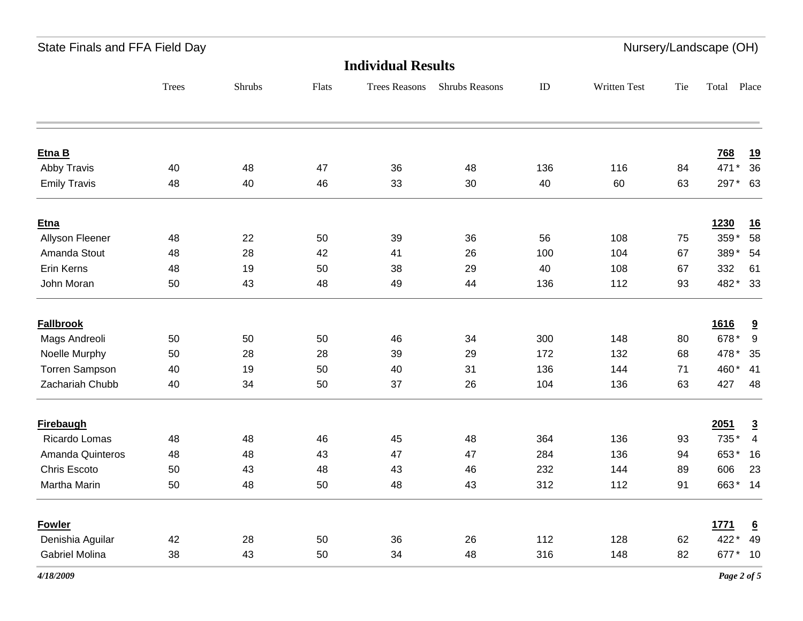State Finals and FFA Field Day **Nursery**/Landscape (OH)

# **Individual Results**

| murviuuai nusulus     |              |        |       |                      |                |     |                     |     |             |                         |
|-----------------------|--------------|--------|-------|----------------------|----------------|-----|---------------------|-----|-------------|-------------------------|
|                       | <b>Trees</b> | Shrubs | Flats | <b>Trees Reasons</b> | Shrubs Reasons | ID  | <b>Written Test</b> | Tie | Total       | Place                   |
|                       |              |        |       |                      |                |     |                     |     |             |                         |
| Etna B                |              |        |       |                      |                |     |                     |     | 768         | <u>19</u>               |
| Abby Travis           | 40           | 48     | 47    | 36                   | 48             | 136 | 116                 | 84  | 471*        | 36                      |
| <b>Emily Travis</b>   | 48           | 40     | 46    | 33                   | 30             | 40  | 60                  | 63  | 297* 63     |                         |
| <b>Etna</b>           |              |        |       |                      |                |     |                     |     | 1230        | <u>16</u>               |
| Allyson Fleener       | 48           | 22     | 50    | 39                   | 36             | 56  | 108                 | 75  | 359*        | 58                      |
| Amanda Stout          | 48           | 28     | 42    | 41                   | 26             | 100 | 104                 | 67  | 389*        | 54                      |
| Erin Kerns            | 48           | 19     | 50    | 38                   | 29             | 40  | 108                 | 67  | 332         | 61                      |
| John Moran            | 50           | 43     | 48    | 49                   | 44             | 136 | 112                 | 93  | 482* 33     |                         |
| <b>Fallbrook</b>      |              |        |       |                      |                |     |                     |     | 1616        | $\overline{\mathbf{a}}$ |
| Mags Andreoli         | 50           | 50     | 50    | 46                   | 34             | 300 | 148                 | 80  | 678*        | 9                       |
| Noelle Murphy         | 50           | 28     | 28    | 39                   | 29             | 172 | 132                 | 68  | 478 *       | 35                      |
| <b>Torren Sampson</b> | 40           | 19     | 50    | 40                   | 31             | 136 | 144                 | 71  | 460* 41     |                         |
| Zachariah Chubb       | 40           | 34     | 50    | 37                   | 26             | 104 | 136                 | 63  | 427         | 48                      |
| <b>Firebaugh</b>      |              |        |       |                      |                |     |                     |     | 2051        | $\overline{3}$          |
| Ricardo Lomas         | 48           | 48     | 46    | 45                   | 48             | 364 | 136                 | 93  | 735*        | $\overline{4}$          |
| Amanda Quinteros      | 48           | 48     | 43    | 47                   | 47             | 284 | 136                 | 94  | 653* 16     |                         |
| Chris Escoto          | 50           | 43     | 48    | 43                   | 46             | 232 | 144                 | 89  | 606         | 23                      |
| Martha Marin          | 50           | 48     | 50    | 48                   | 43             | 312 | 112                 | 91  | 663* 14     |                         |
| <b>Fowler</b>         |              |        |       |                      |                |     |                     |     | <u>1771</u> | $\underline{6}$         |
| Denishia Aguilar      | 42           | 28     | 50    | 36                   | 26             | 112 | 128                 | 62  | 422*        | 49                      |
| <b>Gabriel Molina</b> | 38           | 43     | 50    | 34                   | 48             | 316 | 148                 | 82  | 677* 10     |                         |
|                       |              |        |       |                      |                |     |                     |     |             |                         |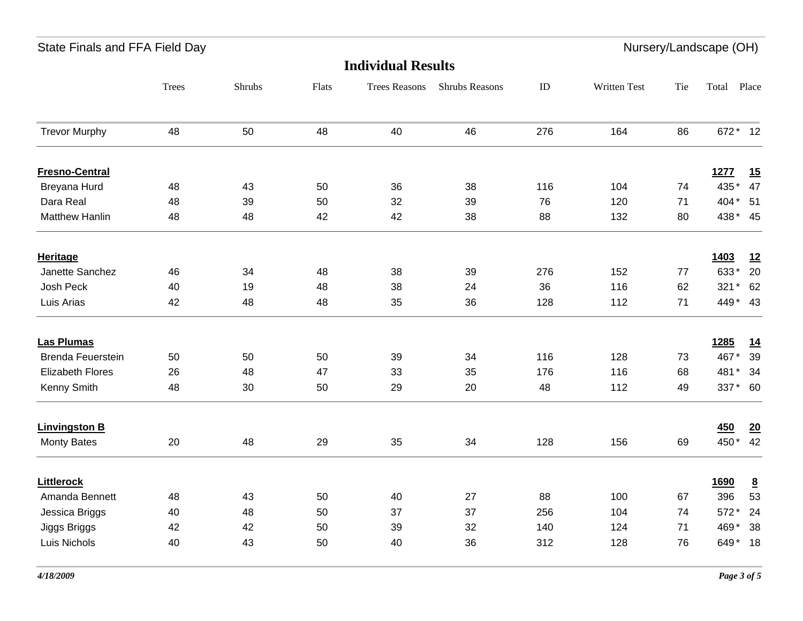| State Finals and FFA Field Day |       |        |       |                           |                |     |              |     | Nursery/Landscape (OH) |                 |
|--------------------------------|-------|--------|-------|---------------------------|----------------|-----|--------------|-----|------------------------|-----------------|
|                                |       |        |       | <b>Individual Results</b> |                |     |              |     |                        |                 |
|                                | Trees | Shrubs | Flats | <b>Trees Reasons</b>      | Shrubs Reasons | ID  | Written Test | Tie | Total Place            |                 |
| <b>Trevor Murphy</b>           | 48    | 50     | 48    | 40                        | 46             | 276 | 164          | 86  | 672* 12                |                 |
| <b>Fresno-Central</b>          |       |        |       |                           |                |     |              |     | 1277                   | 15              |
| Breyana Hurd                   | 48    | 43     | 50    | 36                        | 38             | 116 | 104          | 74  | 435*                   | 47              |
| Dara Real                      | 48    | 39     | 50    | 32                        | 39             | 76  | 120          | 71  | 404* 51                |                 |
| <b>Matthew Hanlin</b>          | 48    | 48     | 42    | 42                        | 38             | 88  | 132          | 80  | 438* 45                |                 |
| <b>Heritage</b>                |       |        |       |                           |                |     |              |     | 1403                   | 12              |
| Janette Sanchez                | 46    | 34     | 48    | 38                        | 39             | 276 | 152          | 77  | 633*                   | 20              |
| Josh Peck                      | 40    | 19     | 48    | 38                        | 24             | 36  | 116          | 62  | $321*$                 | 62              |
| Luis Arias                     | 42    | 48     | 48    | 35                        | 36             | 128 | 112          | 71  | 449* 43                |                 |
| <b>Las Plumas</b>              |       |        |       |                           |                |     |              |     | <u>1285</u>            | <u>14</u>       |
| <b>Brenda Feuerstein</b>       | 50    | 50     | 50    | 39                        | 34             | 116 | 128          | 73  | 467*                   | 39              |
| <b>Elizabeth Flores</b>        | 26    | 48     | 47    | 33                        | 35             | 176 | 116          | 68  | 481*                   | 34              |
| Kenny Smith                    | 48    | 30     | 50    | 29                        | 20             | 48  | 112          | 49  | 337* 60                |                 |
| <b>Linvingston B</b>           |       |        |       |                           |                |     |              |     | 450                    | 20              |
| <b>Monty Bates</b>             | 20    | 48     | 29    | 35                        | 34             | 128 | 156          | 69  | 450* 42                |                 |
| <b>Littlerock</b>              |       |        |       |                           |                |     |              |     | <b>1690</b>            | $\underline{8}$ |
| Amanda Bennett                 | 48    | 43     | 50    | 40                        | 27             | 88  | 100          | 67  | 396                    | 53              |
| Jessica Briggs                 | 40    | 48     | 50    | 37                        | 37             | 256 | 104          | 74  | 572*                   | 24              |
| Jiggs Briggs                   | 42    | 42     | 50    | 39                        | 32             | 140 | 124          | 71  | 469*                   | 38              |
| Luis Nichols                   | 40    | 43     | 50    | 40                        | 36             | 312 | 128          | 76  | 649* 18                |                 |
|                                |       |        |       |                           |                |     |              |     |                        |                 |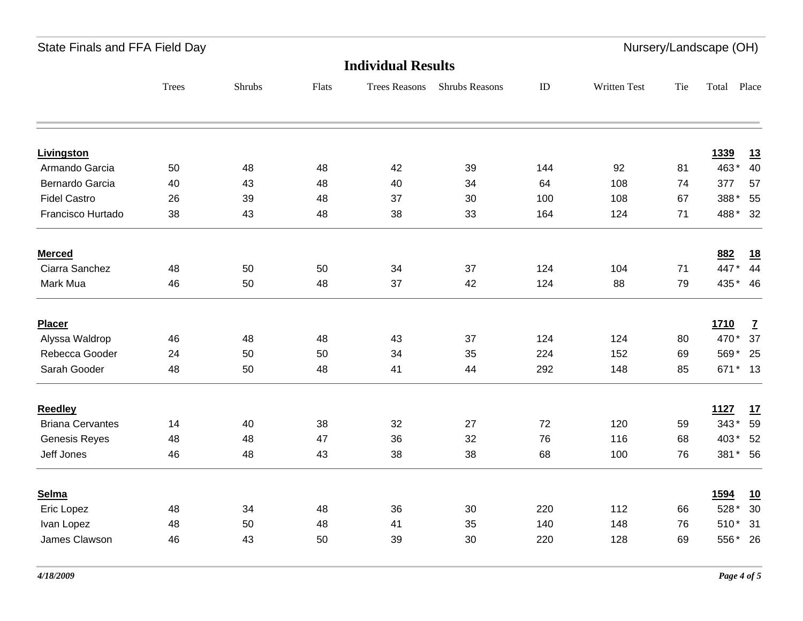State Finals and FFA Field Day **Nursery**/Landscape (OH)

# **Individual Results**

|                         |              |        |       |                      | <b>RUGGE INCOURS</b>  |     |              |     |         |              |  |
|-------------------------|--------------|--------|-------|----------------------|-----------------------|-----|--------------|-----|---------|--------------|--|
|                         | <b>Trees</b> | Shrubs | Flats | <b>Trees Reasons</b> | <b>Shrubs Reasons</b> | ID  | Written Test | Tie | Total   | Place        |  |
|                         |              |        |       |                      |                       |     |              |     |         |              |  |
| <b>Livingston</b>       |              |        |       |                      |                       |     |              |     | 1339    | <u>13</u>    |  |
| Armando Garcia          | 50           | 48     | 48    | 42                   | 39                    | 144 | 92           | 81  | 463*    | 40           |  |
| Bernardo Garcia         | 40           | 43     | 48    | 40                   | 34                    | 64  | 108          | 74  | 377     | 57           |  |
| <b>Fidel Castro</b>     | 26           | 39     | 48    | 37                   | 30                    | 100 | 108          | 67  | 388*    | 55           |  |
| Francisco Hurtado       | 38           | 43     | 48    | 38                   | 33                    | 164 | 124          | 71  | 488* 32 |              |  |
| <b>Merced</b>           |              |        |       |                      |                       |     |              |     | 882     | <u>18</u>    |  |
| Ciarra Sanchez          | 48           | 50     | 50    | 34                   | 37                    | 124 | 104          | 71  | 447* 44 |              |  |
| Mark Mua                | 46           | 50     | 48    | 37                   | 42                    | 124 | 88           | 79  | 435* 46 |              |  |
| Placer                  |              |        |       |                      |                       |     |              |     | 1710    | $\mathbf{Z}$ |  |
| Alyssa Waldrop          | 46           | 48     | 48    | 43                   | 37                    | 124 | 124          | 80  | 470* 37 |              |  |
| Rebecca Gooder          | 24           | 50     | 50    | 34                   | 35                    | 224 | 152          | 69  | 569* 25 |              |  |
| Sarah Gooder            | 48           | 50     | 48    | 41                   | 44                    | 292 | 148          | 85  | 671* 13 |              |  |
| <b>Reedley</b>          |              |        |       |                      |                       |     |              |     | 1127    | 17           |  |
| <b>Briana Cervantes</b> | 14           | 40     | 38    | 32                   | 27                    | 72  | 120          | 59  | 343* 59 |              |  |
| <b>Genesis Reyes</b>    | 48           | 48     | 47    | 36                   | 32                    | 76  | 116          | 68  | 403* 52 |              |  |
| Jeff Jones              | 46           | 48     | 43    | 38                   | 38                    | 68  | 100          | 76  | 381* 56 |              |  |
| Selma                   |              |        |       |                      |                       |     |              |     | 1594    | <u>10</u>    |  |
| Eric Lopez              | 48           | 34     | 48    | 36                   | 30                    | 220 | 112          | 66  | 528 *   | 30           |  |
| Ivan Lopez              | 48           | 50     | 48    | 41                   | 35                    | 140 | 148          | 76  | 510* 31 |              |  |
| James Clawson           | 46           | 43     | 50    | 39                   | 30                    | 220 | 128          | 69  | 556* 26 |              |  |